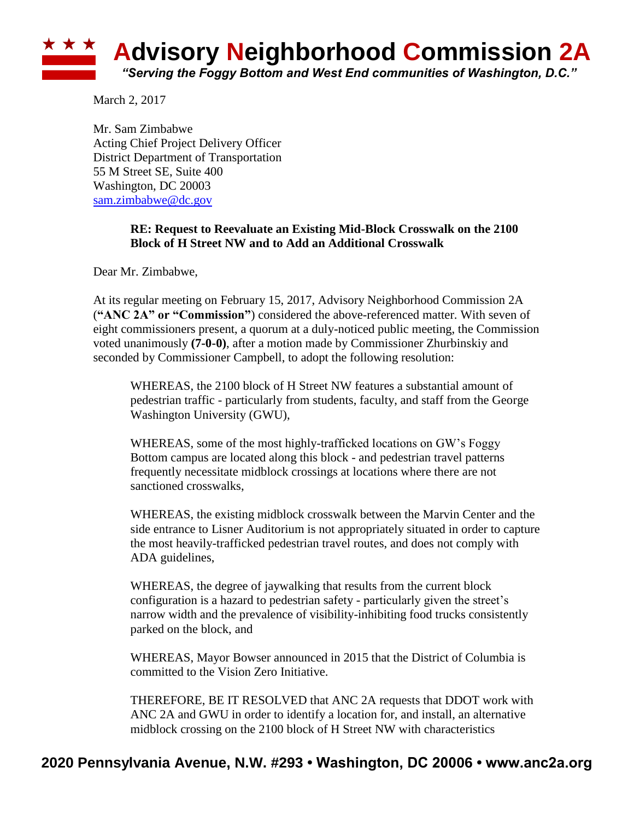

March 2, 2017

Mr. Sam Zimbabwe Acting Chief Project Delivery Officer District Department of Transportation 55 M Street SE, Suite 400 Washington, DC 20003 [sam.zimbabwe@dc.gov](mailto:sam.zimbabwe@dc.gov)

## **RE: Request to Reevaluate an Existing Mid-Block Crosswalk on the 2100 Block of H Street NW and to Add an Additional Crosswalk**

Dear Mr. Zimbabwe,

At its regular meeting on February 15, 2017, Advisory Neighborhood Commission 2A (**"ANC 2A" or "Commission"**) considered the above-referenced matter. With seven of eight commissioners present, a quorum at a duly-noticed public meeting, the Commission voted unanimously **(7-0-0)**, after a motion made by Commissioner Zhurbinskiy and seconded by Commissioner Campbell, to adopt the following resolution:

WHEREAS, the 2100 block of H Street NW features a substantial amount of pedestrian traffic - particularly from students, faculty, and staff from the George Washington University (GWU),

WHEREAS, some of the most highly-trafficked locations on GW's Foggy Bottom campus are located along this block - and pedestrian travel patterns frequently necessitate midblock crossings at locations where there are not sanctioned crosswalks,

WHEREAS, the existing midblock crosswalk between the Marvin Center and the side entrance to Lisner Auditorium is not appropriately situated in order to capture the most heavily-trafficked pedestrian travel routes, and does not comply with ADA guidelines,

WHEREAS, the degree of jaywalking that results from the current block configuration is a hazard to pedestrian safety - particularly given the street's narrow width and the prevalence of visibility-inhibiting food trucks consistently parked on the block, and

WHEREAS, Mayor Bowser announced in 2015 that the District of Columbia is committed to the Vision Zero Initiative.

THEREFORE, BE IT RESOLVED that ANC 2A requests that DDOT work with ANC 2A and GWU in order to identify a location for, and install, an alternative midblock crossing on the 2100 block of H Street NW with characteristics

## **2020 Pennsylvania Avenue, N.W. #293 • Washington, DC 20006 • www.anc2a.org**